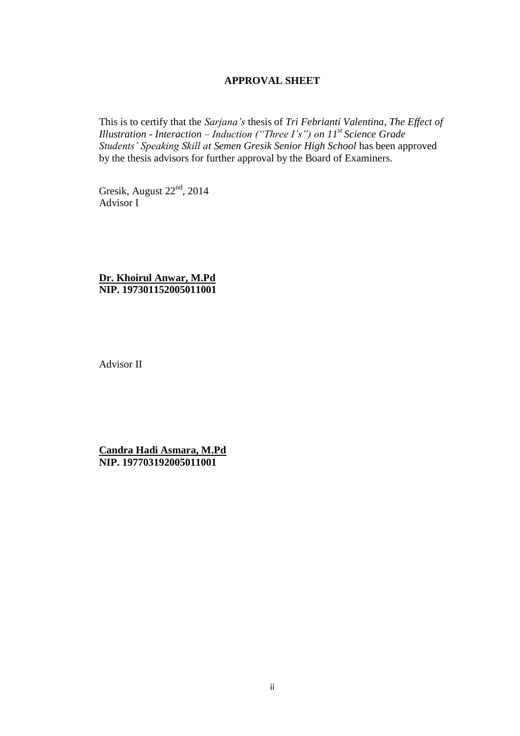### **APPROVAL SHEET**

This is to certify that the *Sarjana's* thesis of *Tri Febrianti Valentina*, *The Effect of Illustration - Interaction – Induction ("Three I's") on 11st Science Grade Students' Speaking Skill at Semen Gresik Senior High School* has been approved by the thesis advisors for further approval by the Board of Examiners.

Gresik, August  $22<sup>nd</sup>$ , 2014 Advisor I

**Dr. Khoirul Anwar, M.Pd NIP. 197301152005011001**

Advisor II

**Candra Hadi Asmara, M.Pd NIP. 197703192005011001**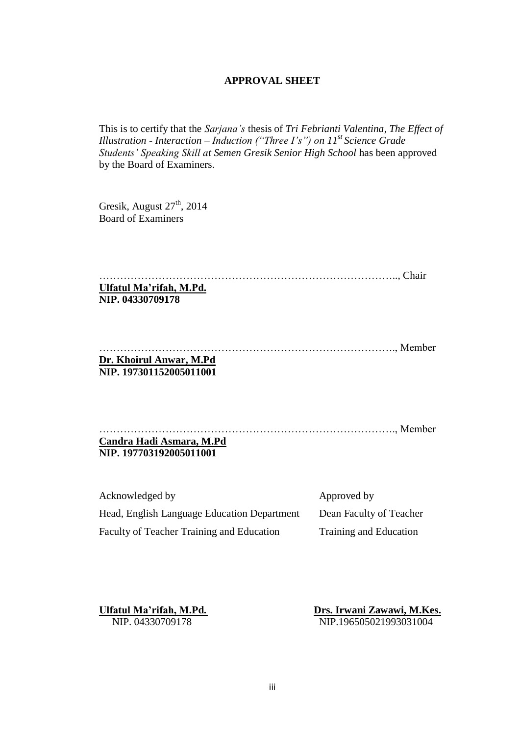### **APPROVAL SHEET**

This is to certify that the *Sarjana's* thesis of *Tri Febrianti Valentina*, *The Effect of Illustration - Interaction – Induction ("Three I's") on 11st Science Grade Students' Speaking Skill at Semen Gresik Senior High School* has been approved by the Board of Examiners.

Gresik, August  $27<sup>th</sup>$ , 2014 Board of Examiners

#### ………………………………………………………………………….., Chair **Ulfatul Ma'rifah, M.Pd. NIP. 04330709178**

## …………………………………………………………………………., Member **Dr. Khoirul Anwar, M.Pd**

**NIP. 197301152005011001**

…………………………………………………………………………., Member **Candra Hadi Asmara, M.Pd**

# **NIP. 197703192005011001**

| Acknowledged by                             | Approved by             |
|---------------------------------------------|-------------------------|
| Head, English Language Education Department | Dean Faculty of Teacher |
| Faculty of Teacher Training and Education   | Training and Education  |

**Ulfatul Ma'rifah, M.Pd. Drs. Irwani Zawawi, M.Kes.** NIP. 04330709178NIP.196505021993031004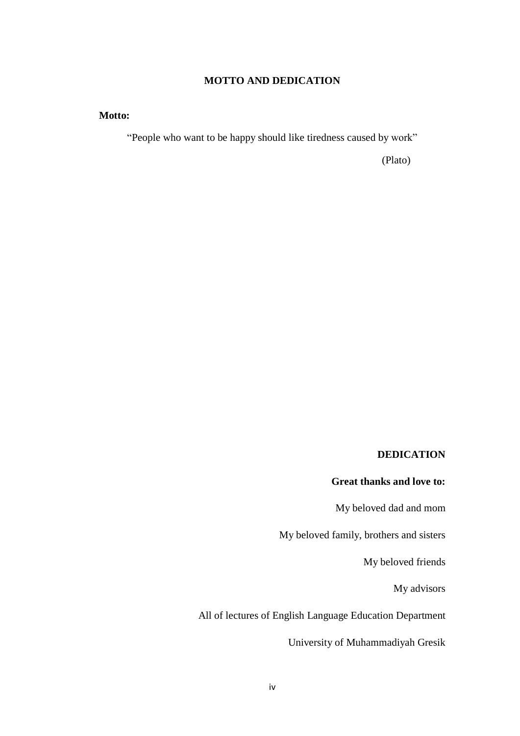## **MOTTO AND DEDICATION**

### **Motto:**

"People who want to be happy should like tiredness caused by work"

(Plato)

# **DEDICATION**

### **Great thanks and love to:**

My beloved dad and mom

My beloved family, brothers and sisters

My beloved friends

My advisors

All of lectures of English Language Education Department

University of Muhammadiyah Gresik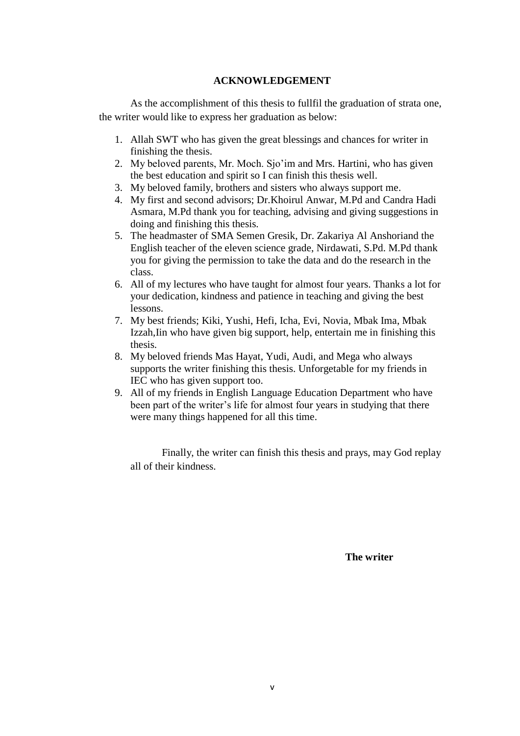### **ACKNOWLEDGEMENT**

As the accomplishment of this thesis to fullfil the graduation of strata one, the writer would like to express her graduation as below:

- 1. Allah SWT who has given the great blessings and chances for writer in finishing the thesis.
- 2. My beloved parents, Mr. Moch. Sjo'im and Mrs. Hartini, who has given the best education and spirit so I can finish this thesis well.
- 3. My beloved family, brothers and sisters who always support me.
- 4. My first and second advisors; Dr.Khoirul Anwar, M.Pd and Candra Hadi Asmara, M.Pd thank you for teaching, advising and giving suggestions in doing and finishing this thesis.
- 5. The headmaster of SMA Semen Gresik, Dr. Zakariya Al Anshoriand the English teacher of the eleven science grade, Nirdawati, S.Pd. M.Pd thank you for giving the permission to take the data and do the research in the class.
- 6. All of my lectures who have taught for almost four years. Thanks a lot for your dedication, kindness and patience in teaching and giving the best lessons.
- 7. My best friends; Kiki, Yushi, Hefi, Icha, Evi, Novia, Mbak Ima, Mbak Izzah,Iin who have given big support, help, entertain me in finishing this thesis.
- 8. My beloved friends Mas Hayat, Yudi, Audi, and Mega who always supports the writer finishing this thesis. Unforgetable for my friends in IEC who has given support too.
- 9. All of my friends in English Language Education Department who have been part of the writer's life for almost four years in studying that there were many things happened for all this time.

Finally, the writer can finish this thesis and prays, may God replay all of their kindness.

 **The writer**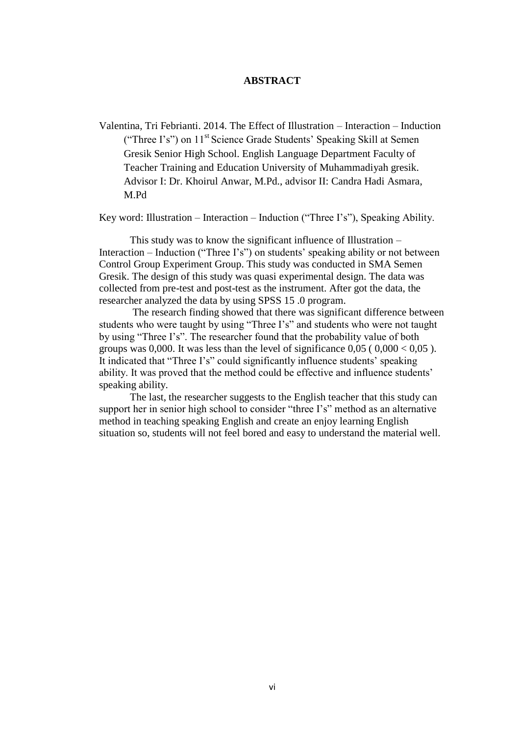#### **ABSTRACT**

Valentina, Tri Febrianti. 2014. The Effect of Illustration – Interaction – Induction ("Three I's") on 11st Science Grade Students' Speaking Skill at Semen Gresik Senior High School. English Language Department Faculty of Teacher Training and Education University of Muhammadiyah gresik. Advisor I: Dr. Khoirul Anwar, M.Pd., advisor II: Candra Hadi Asmara, M.Pd

Key word: Illustration – Interaction – Induction ("Three I's"), Speaking Ability.

This study was to know the significant influence of Illustration – Interaction – Induction ("Three I's") on students' speaking ability or not between Control Group Experiment Group. This study was conducted in SMA Semen Gresik. The design of this study was quasi experimental design. The data was collected from pre-test and post-test as the instrument. After got the data, the researcher analyzed the data by using SPSS 15 .0 program.

The research finding showed that there was significant difference between students who were taught by using "Three I's" and students who were not taught by using "Three I's". The researcher found that the probability value of both groups was 0,000. It was less than the level of significance  $0.05$  ( $0.000 < 0.05$ ). It indicated that "Three I's" could significantly influence students' speaking ability. It was proved that the method could be effective and influence students' speaking ability.

The last, the researcher suggests to the English teacher that this study can support her in senior high school to consider "three I's" method as an alternative method in teaching speaking English and create an enjoy learning English situation so, students will not feel bored and easy to understand the material well.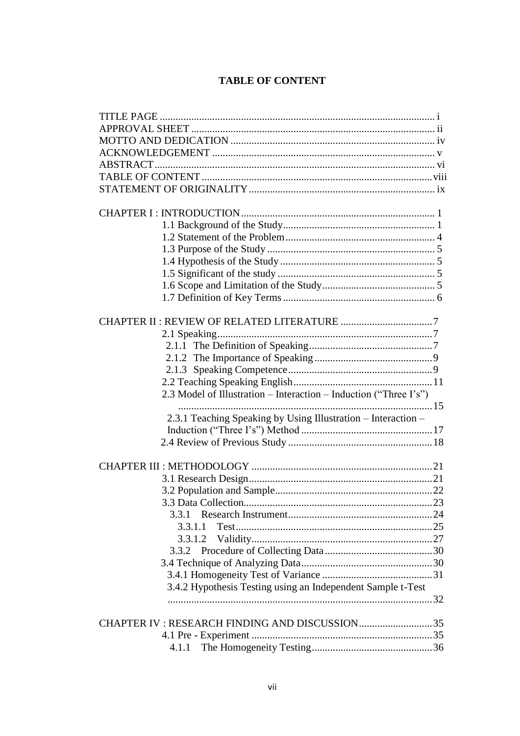# **TABLE OF CONTENT**

| 2.3 Model of Illustration – Interaction – Induction ("Three I's") |  |  |
|-------------------------------------------------------------------|--|--|
|                                                                   |  |  |
| 2.3.1 Teaching Speaking by Using Illustration - Interaction -     |  |  |
|                                                                   |  |  |
|                                                                   |  |  |
|                                                                   |  |  |
|                                                                   |  |  |
|                                                                   |  |  |
|                                                                   |  |  |
| 23                                                                |  |  |
| 3.3.1                                                             |  |  |
| 3.3.1.1                                                           |  |  |
| 3.3.1.2                                                           |  |  |
|                                                                   |  |  |
|                                                                   |  |  |
|                                                                   |  |  |
| 3.4.2 Hypothesis Testing using an Independent Sample t-Test       |  |  |
|                                                                   |  |  |
|                                                                   |  |  |
| CHAPTER IV: RESEARCH FINDING AND DISCUSSION35                     |  |  |
| 4.1.1                                                             |  |  |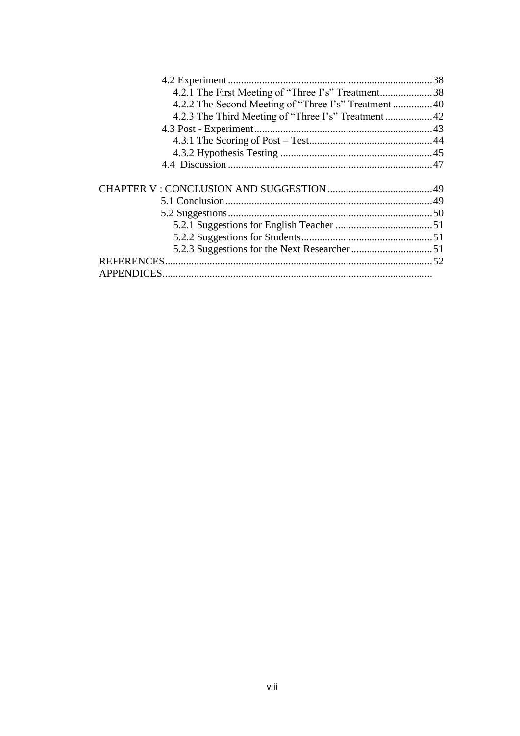| 4.2.1 The First Meeting of "Three I's" Treatment38 |  |
|----------------------------------------------------|--|
|                                                    |  |
|                                                    |  |
|                                                    |  |
|                                                    |  |
|                                                    |  |
|                                                    |  |
|                                                    |  |
|                                                    |  |
|                                                    |  |
|                                                    |  |
|                                                    |  |
|                                                    |  |
|                                                    |  |
|                                                    |  |
| REFERENCES.                                        |  |